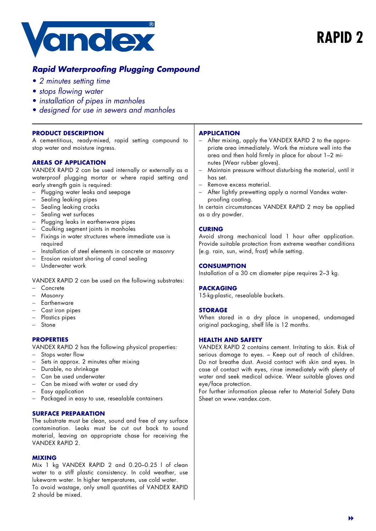

# **Rapid Waterproofing Plugging Compound**

- 2 minutes setting time
- stops flowing water
- installation of pipes in manholes
- designed for use in sewers and manholes

# **PRODUCT DESCRIPTION**

A cementitious, ready-mixed, rapid setting compound to stop water and moisture ingress.

# **AREAS OF APPLICATION**

VANDEX RAPID 2 can be used internally or externally as a waterproof plugging mortar or where rapid setting and early strength gain is required:

- − Plugging water leaks and seepage
- Sealing leaking pipes
- Sealing leaking cracks
- Sealing wet surfaces
- − Plugging leaks in earthenware pipes
- Caulking segment joints in manholes
- − Fixings in water structures where immediate use is required
- Installation of steel elements in concrete or masonry
- Erosion resistant shoring of canal sealing
- − Underwater work

VANDEX RAPID 2 can be used on the following substrates:

- − Concrete
- − Masonry
- − Earthenware
- − Cast iron pipes
- − Plastics pipes
- − Stone

## **PROPERTIES**

VANDEX RAPID 2 has the following physical properties:

- − Stops water flow
- Sets in approx. 2 minutes after mixing
- − Durable, no shrinkage
- − Can be used underwater
- − Can be mixed with water or used dry
- Easy application
- Packaged in easy to use, resealable containers

# **SURFACE PREPARATION**

The substrate must be clean, sound and free of any surface contamination. Leaks must be cut out back to sound material, leaving an appropriate chase for receiving the VANDEX RAPID 2.

## **MIXING**

Mix 1 kg VANDEX RAPID 2 and 0.20–0.25 l of clean water to a stiff plastic consistency. In cold weather, use lukewarm water. In higher temperatures, use cold water. To avoid wastage, only small quantities of VANDEX RAPID 2 should be mixed.

#### **APPLICATION**

- − After mixing, apply the VANDEX RAPID 2 to the appropriate area immediately. Work the mixture well into the area and then hold firmly in place for about 1–2 minutes (Wear rubber gloves).
- − Maintain pressure without disturbing the material, until it has set.
- Remove excess material.
- After lightly prewetting apply a normal Vandex waterproofing coating.

In certain circumstances VANDEX RAPID 2 may be applied as a dry powder.

# **CURING**

Avoid strong mechanical load 1 hour after application. Provide suitable protection from extreme weather conditions (e.g. rain, sun, wind, frost) while setting.

# **CONSUMPTION**

Installation of a 30 cm diameter pipe requires 2–3 kg.

## **PACKAGING**

15-kg-plastic, resealable buckets.

## **STORAGE**

When stored in a dry place in unopened, undamaged original packaging, shelf life is 12 months.

## **HEALTH AND SAFETY**

VANDEX RAPID 2 contains cement. Irritating to skin. Risk of serious damage to eyes. – Keep out of reach of children. Do not breathe dust. Avoid contact with skin and eyes. In case of contact with eyes, rinse immediately with plenty of water and seek medical advice. Wear suitable gloves and eye/face protection.

For further information please refer to Material Safety Data Sheet on www.vandex.com.